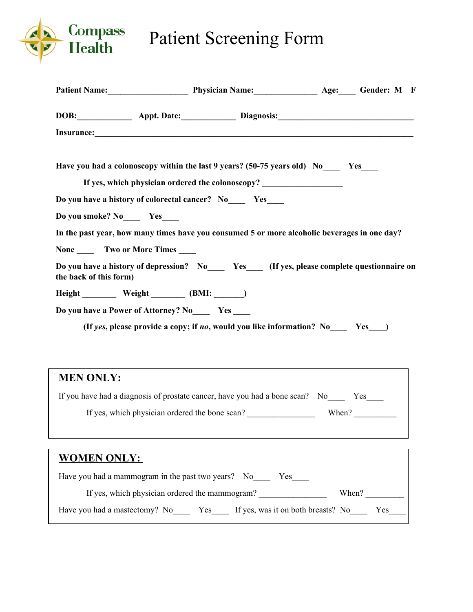

## Patient Screening Form

**Patient Name:\_\_\_\_\_\_\_\_\_\_\_\_\_\_\_\_\_\_\_ Physician Name:\_\_\_\_\_\_\_\_\_\_\_\_\_\_\_ Age:\_\_\_\_ Gender: M F**

| DOB: Appt. Date: Diagnosis: Manual Diagnosis:                                                                                                                    |  |  |  |  |  |  |
|------------------------------------------------------------------------------------------------------------------------------------------------------------------|--|--|--|--|--|--|
| Have you had a colonoscopy within the last 9 years? (50-75 years old) No Yes<br>If yes, which physician ordered the colonoscopy? _______________________________ |  |  |  |  |  |  |
| Do you have a history of colorectal cancer? No Yes                                                                                                               |  |  |  |  |  |  |
| Do you smoke? No Yes                                                                                                                                             |  |  |  |  |  |  |
| In the past year, how many times have you consumed 5 or more alcoholic beverages in one day?                                                                     |  |  |  |  |  |  |
| None _______ Two or More Times _____                                                                                                                             |  |  |  |  |  |  |
| Do you have a history of depression? No Yes (If yes, please complete questionnaire on<br>the back of this form)                                                  |  |  |  |  |  |  |
|                                                                                                                                                                  |  |  |  |  |  |  |
| Do you have a Power of Attorney? No______ Yes _____                                                                                                              |  |  |  |  |  |  |
| (If yes, please provide a copy; if no, would you like information? No Yes $\bigcup$                                                                              |  |  |  |  |  |  |
| <b>MEN ONLY:</b>                                                                                                                                                 |  |  |  |  |  |  |
| If you have had a diagnosis of prostate cancer, have you had a bone scan? No______ Yes_____                                                                      |  |  |  |  |  |  |
| If yes, which physician ordered the bone scan?<br>When? $\frac{1}{\sqrt{1-\frac{1}{2}} \cdot \frac{1}{2}}$                                                       |  |  |  |  |  |  |
| <b>WOMEN ONLY:</b>                                                                                                                                               |  |  |  |  |  |  |
| Have you had a mammogram in the past two years? No_______ Yes_____                                                                                               |  |  |  |  |  |  |
|                                                                                                                                                                  |  |  |  |  |  |  |
| Have you had a mastectomy? No _______ Yes _______ If yes, was it on both breasts? No _______ Yes ______                                                          |  |  |  |  |  |  |